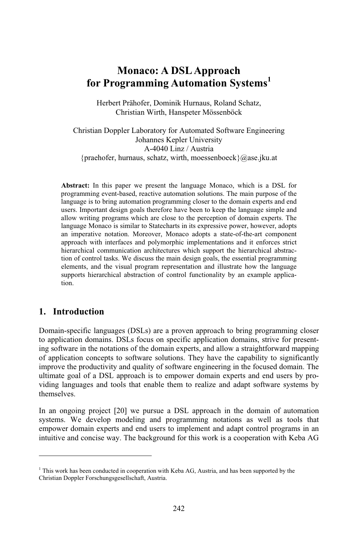## **Monaco: A DSL Approach Monaco: A DSL Approach<br>
<b>1** Programming Automation Systems<sup>1</sup><br>
Herbert Prähofer, Dominik Hurnaus, Roland Schatz, vgi alli

 Wirth, Hanspeter Mössenböck JohannesHerbert Prähofer, Dominik Hurnaus, Roland Schatz, erbert Pranoter, Dominik Hurnaus, Koland Schatz,<br>Christian Wirth, Hanspeter Mössenböck<br>Doppler Laboratory for Automated Software Engineering

k, Hanspeter Mosse<br>y for Automated So<br>Kepler University oratory for Automated<br>nannes Kepler Univers<br>A-4040 Linz / Austria ristian Dop Johannes Kepler University<br>A-4040 Linz / Austria<br>foraehofer, hurnaus, schatz, wirth, moessenboeck }@ase.jku.at **Abstract:**

In this paper we present the language Monaco, which is a DSL for this paper we present the language Monaco, which is a DSL for event-based, reactive automation solutions. The main purpose of the Abstract: In this paper we present the language Monaco, which is a DSL for programming event-based, reactive automation solutions. The main purpose of the language is to bring automation programming closer to the domain ex Abstr **Exect:** In this paper we present the language Monaco, which is a DSL for amming event-based, reactive automation solutions. The main purpose of the age is to bring automation programming closer to the domain experts and e programming event-based, reactive automation solutions. The main purpose of the event-based, reactive automation solutions. The main purpose of the<br>bring automation programming closer to the domain experts and end<br>ant design goals therefore have been to keep the language simple and<br>programs which are language is to bring automation programming closer to the domain experts and end is to bring automation programming closer to the domain experts and end<br>portant design goals therefore have been to keep the language simple and<br>iting programs which are close to the perception of domain experts. The<br>Monac us ers. Important design goals therefore have been to keep the language simple and<br>ow writing programs which are close to the perception of domain experts. The<br>guage Monaco is similar to Statecharts in its expressive power, h allow writing programs which are close to the perception of domain experts. The ting programs which are close to the perception of domain experts. The<br>Monaco is similar to Statecharts in its expressive power, however, adopts<br>ative notation. Moreover, Monaco adopts a state-of-the-art component<br>with int language M onaco is similar to Statecharts in its expressive power, however, adopts<br>ve notation. Moreover, Monaco adopts a state-of-the-art component<br>ith interfaces and polymorphic implementations and it enforces strict<br>communication an imperative notation. Moreover, Monaco adopts a state-of-the-art component mperative notation. Moreover, Monaco adopts a state-of-the-art component<br>roach with interfaces and polymorphic implementations and it enforces strict<br>archical communication architectures which support the hierarchical abst approach with interfaces and polymorphic implementations and it enforces strict<br>cal communication architectures which support the hierarchical abstrac-<br>ntrol tasks. We discuss the main design goals, the essential programming<br>and th hierarch elements, and the visual program representation and illustrate how the language supports hierarchical abstraction of control functionality by an example application of control tasks. We discuss the main design goals, the essential programming **Introduction**<br> **1.** Introduction

### $\mathbf{I}$

1

Christian Doppler

**1. Introduction**<br>Domain-specific languages (DSLs) are a proven approach to bring programming closer FINIT CONCUTION<br>
omain-specific languages (DSLs) are a proven approach to bring programming closer<br>
application domains. DSLs focus on specific application domains, strive for presenting software in theDomain-specific languages (DSLs) are a proven approach to bring programming closer<br>to application domains. DSLs focus on specific application domains, strive for present-<br>ing software in the notations of the domain experts Domain-specific languages (DSLs) are a proven approach to bring programming closer<br>to application domains. DSLs focus on specific application domains, strive for present-<br>ing software in the notations of the domain experts to application domains. DSLs focus on specific application domains, strive for present-<br>ing software in the notations of the domain experts, and allow a straightforward mapping<br>of application concepts to software solutions ware in the notations of the domain experts, and allow a straightforward mapping<br>cation concepts to software solutions. They have the capability to significantly<br>the productivity and quality of software engineering in the lication concepts to software solutions. They have the capability to significantly<br>we the productivity and quality of software engineering in the focused domain. The<br>te goal of a DSL approach is to empower domain experts a improve the viding languages and tools that enable them to realize and adapt software systems by ding languages and tools that enable them to realize and adapt software systems by emselves.<br>
an ongoing project [20] we pursue a DSL approach in the domain of automation themselves.

themselves.<br>In an ongoing project [20] we pursue a DSL approach in the domain of automation<br>systems. We develop modeling and programming notations as well as tools that we pursue a DSL approach in the domain of automation<br>ling and programming notations as well as tools that<br>end users to implement and adapt control programs in an ng project [20] we pursue a DSL approach in the domain of automation<br>e develop modeling and programming notations as well as tools that<br>main experts and end users to implement and adapt control programs in an<br>concise way.

This work has been conducted in cooperation with Keba AG, Austria, and has been supported by the Forschungsgesellschaft, Austria.<br>Forschungsgesellschaft, Austria.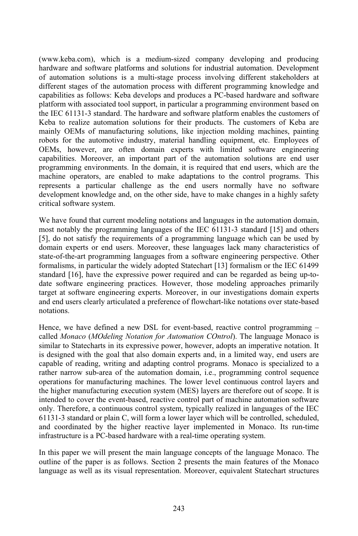which is a medium-sized company developing and producing ba.com), which is a medium-sized company developing and producing<br>and software platforms and solutions for industrial automation. Development (www.keba.com), which is a medium-sized company developing and producing<br>hardware and software platforms and solutions for industrial automation. Development<br>of automation solutions is a multi-stage process involving diffe (www.k stages of the automation same and solutions for industrial automation. Development<br>automation solutions is a multi-stage process involving different stakeholders at<br>stages of the automation process with different programmi hardware a and software platforms and solutions for industrial automation. Development<br>ion solutions is a multi-stage process involving different stakeholders at<br>ages of the automation process with different programming knowledge and of autor mation solutions is a multi-stage process involving different stakeholders at stages of the automation process with different programming knowledge and is as follows: Keba develops and produces a PC-based hardware and soft differen different stages of the automation process with different programming knowledge and<br>capabilities as follows: Keba develops and produces a PC-based hardware and software<br>platform with associated tool support, in particular capabilities as follows: Keba develops and produces a PC-based hardware and software bultities as follows: Keba develops and produces a PC-based hardware and software<br>prm with associated tool support, in particular a programming environment based on<br>EC 61131-3 standard. The hardware and software platform e platform with associated tool support, in particular a programming environment based on m with associated tool support, in particular a programming environment based on<br>C 61131-3 standard. The hardware and software platform enables the customers of<br>to realize automation solutions for their products. The custo C 61131-3 standard. The hardware and software platform enables the customers of<br>to realize automation solutions for their products. The customers of Keba are<br>y OEMs of manufacturing solutions, like injection molding machin Keba t o realize automation solutions for their products. The customers of Keba are OEMs of manufacturing solutions, like injection molding machines, painting for the automotive industry, material handling equipment, etc. Employe mainly OEI Ms of manufacturing solutions, like injection molding machines, painting<br>the automotive industry, material handling equipment, etc. Employees of<br>wever, are often domain experts with limited software engineering<br>Moreover, a robots for th e automotive industry, material handling equipment, etc. Employees of<br>ever, are often domain experts with limited software engineering<br>Moreover, an important part of the automation solutions are end user<br>environments. In t OEMs, however, are often domain experts with limited software engineering however, are often domain experts with limited software engineering<br>ies. Moreover, an important part of the automation solutions are end user<br>ming environments. In the domain, it is required that end users, which are the<br>o capabilities. Moreover, an important part of the automation solutions are end user Moreover, an important part of the automation solutions are end user<br>g environments. In the domain, it is required that end users, which are the<br>prators, are enabled to make adaptations to the control programs. This<br>partic programmın<sub>l</sub> represents a particular challenge as the end users normally have no software machine operators, are enabled to make adaptations to the control programs. This e operators, are<br>ents a particular<br>pment knowledge<br>software system.  $dev$ elopment knowledge and, on the other side, have to make changes in a highly safety<br>ical software system.<br>have found that current modeling notations and languages in the automation domain. critical software system.

ial software system.<br>nave found that current modeling notations and languages in the automation domain,<br>notably the programming languages of the IEC 61131-3 standard [15] and others We have found that current modeling notations and languages in the automation domain, most notably the programming languages of the IEC 61131-3 standard [15] and others [5], do not satisfy the requirements of a programming We have found that cur rent modeling notations and languages in the automation domain,<br>amming languages of the IEC 61131-3 standard [15] and others<br>requirements of a programming language which can be used by<br>users. Moreover, these languages lack most notably t he programming languages of the IEC 61131-3 standard [15] and others<br>isfy the requirements of a programming language which can be used by<br>s or end users. Moreover, these languages lack many characteristics of<br>programming l  $[5]$ , do not satisfy the requi rements of a programming language which can be used by<br>s. Moreover, these languages lack many characteristics of<br>g languages from a software engineering perspective. Other<br>widely adopted Statechart [13] formalism or the IE domain experts or end users. Moreover, these languages lack many characteristics of experts or end users. Moreover, these languages lack many characteristics of<br>the-art programming languages from a software engineering perspective. Other<br>ms, in particular the widely adopted Statechart [13] formalism or th state-of-the-art programming languages from a software engineering perspective. Other ng languages from a software engineering perspective. Other<br>le widely adopted Statechart [13] formalism or the IEC 61499<br>pressive power required and can be regarded as being up-to-<br>practices. However, those modeling approa torma Itisms, in particular the widely adopted Statechart [13] formalism or the IEC 61499 and [16], have the expressive power required and can be regarded as being up-to-software engineering practices. However, those modeling ap standard [16], have the expressive power required and can be regarded as being up-todard [16], have the expressive power required and can be regarded as being up-to-<br>e software engineering practices. However, those modeling approaches primarily<br>get at software engineering experts. Moreover, in our investi date softy and end users clearly articulated a preference of flowchart-like notations over state-based<br>notations.<br>Hence, we have defined a new DSL for event-based, reactive control programming – notations.

*Monaco* (*MOdeling Notation for Automation COntrol*). The language Monaco is<br> *Monaco* (*MOdeling Notation for Automation COntrol*). The language Monaco is we have defined a new DSL for event-based, reactive control programming – Monaco (MOdeling Notation for Automation COntrol). The language Monaco is to Statecharts in its expressive power, however, adopts an imperative nota ence, we have defined a new DSL for event-based, reactive control programming –<br>alled *Monaco (MOdeling Notation for Automation COntrol*). The language Monaco is<br>milar to Statecharts in its expressive power, however, adopt called *Monaco (MOdeling Nota ation for Automation COntrol*). The language Monaco is essive power, however, adopts an imperative notation. It lso domain experts and, in a limited way, end users are adapting control programs. Monaco is specialized to a similar to Statecharts in its ex<sub>l</sub> pressive power, however, adopts an imperative notation. It<br>also domain experts and, in a limited way, end users are<br>ad adapting control programs. Monaco is specialized to a<br>automation domain, i.e., programming control sequ is designed with the goal that also domain experts and, in a limited way, end users are th the goal that also domain experts and, in a limited way, end users are ding, writing and adapting control programs. Monaco is specialized to a sub-area of the automation domain, i.e., programming control sequence manufa capable of if reading, writing and adapting control programs. Monaco is specialized to a<br>row sub-area of the automation domain, i.e., programming control sequence<br>is for manufacturing machines. The lower level continuous control laye rather na arrow sub-area of the automation domain, i.e., programming control sequence<br>as for manufacturing machines. The lower level continuous control layers and<br>er manufacturing execution system (MES) layers are therefore out of s opera therefore, a continuous control layers and igher manufacturing execution system (MES) layers are therefore out of scope. It is<br>ded to cover the event-based, reactive control part of machine automation software<br>Therefore, a the high er manufacturing execution system (MES) layers are therefore out of scope. It is<br>to cover the event-based, reactive control part of machine automation software<br>erefore, a continuous control system, typically realized in la intended to cover the event-based, reactive control part of machine automation software nded to cover the event-based, reactive control part of machine automation software<br>y. Therefore, a continuous control system, typically realized in languages of the IEC<br>31-3 standard or plain C, will form a lower layer wh only. Therefore, a continuous control system, typically realized in languages of the IEC is a continuous control system, typically realized in langthard or plain C, will form a lower layer which will be contrated by the higher reactive layer implemented in Monarius a PC-based hardware with a real-time operatin and coordinated by the higher reactive layer implemented in Monaco. Its run-time<br>infrastructure is a PC-based hardware with a real-time operating system.<br>In this paper we will present the main language concepts of the lang infrastructure is a PC-based hardware with a real-time operating system.

is a PC-based hardware with a real-time operating system.<br>we will present the main language concepts of the language Monaco. The<br>paper is as follows. Section 2 presents the main features of the Monaco will present the main language concepts of the language Monaco. The per is as follows. Section 2 presents the main features of the Monaco as its visual representation. Moreover, equivalent Statechart structures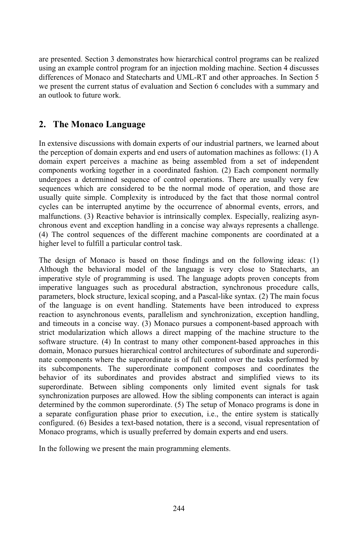presented. Section 3 demonstrates how hierarchical control programs can be realized resented. Section 3 demonstrates how hierarchical control programs can be realized<br>an example control program for an injection molding machine. Section 4 discusses are presented. Section 3 demonstrates how hierarchical control programs can be realized<br>using an example control program for an injection molding machine. Section 4 discusses<br>differences of Monaco and Statecharts and UML-R are presented. Section 3 demonstrates how hierarchical control programs can be realized<br>ing an example control program for an injection molding machine. Section 4 discusses<br>ferences of Monaco and Statecharts and UML-RT and oth us differences of Monaco and Statecharts and UML-RT and other approaches. In Section 5 we present the current status of evaluation and Section 6 concludes with a summary and an outlook to future work. **The Monaco Language**<br> **2.** The Monaco Language

### z. The monaco Languago

The Monaco Language<br>extensive discussions with domain experts of our industrial partners, we learned about **e**<br>main experts of our industrial partners, we learned about<br>and end users of automation machines as follows: (1) A scussions with domain experts of our industrial partners, we learned about of domain experts and end users of automation machines as follows: (1) A perceives a machine as being assembled from a set of independent In extensive discussion ons with domain experts of our industrial partners, we learned about<br>hain experts and end users of automation machines as follows: (1) A<br>ives a machine as being assembled from a set of independent<br>together in a coordinated the perception of domain experts and end users of automation machines as follows:  $(1)$  A on of domain experts and end users of automation machines as follows: (1) A ert perceives a machine as being assembled from a set of independent working together in a coordinated fashion. (2) Each component normally determ domain e xpert perceives a machine as being assembled from a set of independent<br>its working together in a coordinated fashion. (2) Each component normally<br>a determined sequence of control operations. There are usually very few<br>whic compoi hents working together in a coordinated fashion. (2) Each component normally<br>oes a determined sequence of control operations. There are usually very few<br>ces which are considered to be the normal mode of operation, and thos underg goes a determined sequence of control operations. There are usually very few<br>nces which are considered to be the normal mode of operation, and those are<br>y quite simple. Complexity is introduced by the fact that those norma sequences wi inch are considered to be the normal mode of operation, and those are simple. Complexity is introduced by the fact that those normal control e interrupted anytime by the occurrence of abnormal events, errors, and (3) React usually quite simple. Complexity is introduced by the fact that those normal control imple. Complexity is introduced by the fact that those normal control<br>interrupted anytime by the occurrence of abnormal events, errors, and<br>3) Reactive behavior is intrinsically complex. Especially, realizing asyn-<br>and exc cycles o can be interrupted anytime by the occurrence of abnormal events, errors, and<br>tions. (3) Reactive behavior is intrinsically complex. Especially, realizing asyn-<br>is event and exception handling in a concise way always repres malfunctions. (3) Reactive behavior is intrinsically complex. Especially, realizing asynlevel to fulfill a particular is infrins<br>to fulfill a particular control sequences of the different<br>level to fulfill a particular control task. (4) The control sequences of the different machine components are coordinated at a (4) The control sequences of the different machine components are coordinated at a higher level to fulfill a particular control task.<br>The design of Monaco is based on those findings and on the following ideas: (1) higher level to fulfill a particular control task.

higher level to fulfill a particular control task.<br>The design of Monaco is based on those findings and on the following ideas: (1)<br>Although the behavioral model of the language is very close to Statecharts, an Monaco is based on those findings and on the following ideas: (1) behavioral model of the language is very close to Statecharts, an of programming is used. The language adopts proven concepts from The design of Monaco is based on those findings and on the following ideas: (1)<br>Although the behavioral model of the language is very close to Statecharts, an<br>imperative style of programming is used. The language adopts pr the behavioral model of the language is very close to Statecharts, an style of programming is used. The language adopts proven concepts from languages such as procedural abstraction, synchronous procedure calls, block stru perative style of programming is used. The language adopts proven concepts from<br>perative languages such as procedural abstraction, synchronous procedure calls,<br>rameters, block structure, lexical scoping, and a Pascal-like imperative languages su ch as procedural abstraction, synchronous procedure calls, e, lexical scoping, and a Pascal-like syntax. (2) The main focus went handling. Statements have been introduced to express events, parallelism and synchronization, parameters, block structure, lexical scoping, and a Pascal-like syntax. (2) The main focus ameters, block structure, lexical scoping, and a Pascal-like syntax. (2) The main focus<br>the language is on event handling. Statements have been introduced to express<br>tion to asynchronous events, parallelism and synchroniza of th ie language is on event handling. Statements have been introduced to express<br>ion to asynchronous events, parallelism and synchronization, exception handling,<br>imeouts in a concise way. (3) Monaco pursues a component-based a reaction to asynchronous events, parallelism and synchronization, exception handling,<br>couts in a concise way. (3) Monaco pursues a component-based approach with<br>odularization which allows a direct mapping of the machine structure t and tim and timeouts in a concise way. (3) Monaco pursues a component-based approach with<br>strict modularization which allows a direct mapping of the machine structure to the<br>software structure. (4) In contrast to many other compon strict modularization which allows a direct mapping of the machine structure to the thich allows a direct mapping of the machine structure to the<br>In contrast to many other component-based approaches in this<br>is hierarchical control architectures of subordinate and superordi-<br>the superordinate is of full co ftware structure. (4) In contrast to many other component-based approaches in this<br>main, Monaco pursues hierarchical control architectures of subordinate and superordi-<br>te components where the superordinate is of full cont domain, Monaco pursues herarchical control architectures of subordinate and superordi-<br>ponents where the superordinate is of full control over the tasks performed by<br>omponents. The superordinate component composes and coordinates nate components where the superordinate is of full control over the tasks performed by nts where the superordinate is of full control over the tasks performed by<br>ments. The superordinate component composes and coordinates the<br>its subordinates and provides abstract and simplified views to its<br>Between sibling its subcompone ents. The superordinate component composes and coordinates the subordinates and provides abstract and simplified views to its Between sibling components only limited event signals for task purposes are allowed. How the sib behavior of its subordinates and provides abstract and simplified views to its<br>etween sibling components only limited event signals for task<br>urposes are allowed. How the sibling components can interact is again<br>common superordinate. (5) T superordinate. Between sibling components only limited event signals for task ate. Between sibling components only limited event signals for task<br>cation purposes are allowed. How the sibling components can interact is again<br>d by the common superordinate. (5) The setup of Monaco programs is done in<br>c synchronization a separate configuration phase prior to execution, i.e., the entire system is statically determined by the common superordinate.  $(5)$  The setup of Monaco programs is done in common superordinate. (5) The setup of Monaco programs<br>tration phase prior to execution, i.e., the entire system is<br>sides a text-based notation, there is a second, visual represe<br>which is usually preferred by domain expert  $cc$ Monaco programs, which is usually preferred by domain experts and end users.<br>In the following we present the main programming elements.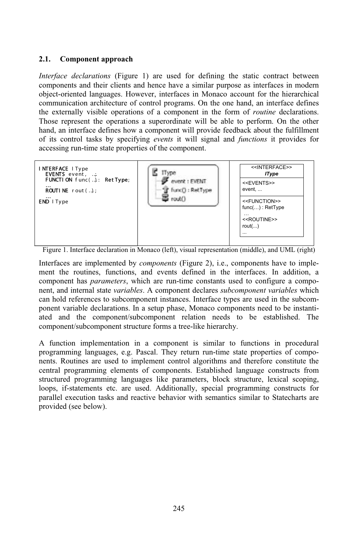# 2.1. Component approach

**dividends**<br>*declarations* (Figure 1) are used for defining the static contract between **Example 3** ent approach<br>tations (Figure 1) are used for defining the static contract between<br>their clients and hence have a similar purpose as interfaces in modern *Interface declarations* (Figure 1) are used for defining the static contract between components and their clients and hence have a similar purpose as interfaces in modern object-oriented languages. However, interfaces in Interface decla rations (Figure 1) are used for defining the static contract between<br>d their clients and hence have a similar purpose as interfaces in modern<br>languages. However, interfaces in Monaco account for the hierarchical<br>architectu components and their clients and hence have a similar purpose as interfaces in modern clients and hence have a similar purpose as interfaces in modern<br>ages. However, interfaces in Monaco account for the hierarchical<br>ecture of control programs. On the one hand, an interface defines<br>operations of a component object -oriented languages. However, interfaces in Monaco account for the hierarchical<br>unication architecture of control programs. On the one hand, an interface defines<br>ternally visible operations of a component in the form of *r* comn nuncation architecture of control programs. On the one hand, an interface defines<br>xternally visible operations of a component in the form of *routine* declarations.<br>Propresent the operations a superordinate will be able to the externally visible operations of a component in the form of *routine* declarations.<br>Those represent the operations a superordinate will be able to perform. On the other<br>hand, an interface defines how a component will p Those represent the operations a superordinate will be able to perform. On the other hand, an interface defines how a component will provide feedback about the fulfillment of its control tasks by specifying *events* it will signal and *functions* it provides for



 $\overline{\text{Fior}}$ component

Figure 1. Interface declaration in Monaco (left), visual representation (middle), and UML (right)<br>Interfaces are implemented by *components* (Figure 2), i.e., components have to implement the routines. functions, and event has *parameters*, which are run-time constants used to configure a compo-<br>has *parameters*, which are run-time constants used to configure a compois are implemented by *components* (Figure 2), i.e., components have to imple-<br>
interfaces. In addition, and evaluate variables, and events defined in the interfaces. In addition, and that has *parameters*, which are run-t mei the routines, functions, and events defined in the interfaces. In addition, a<br>aponent has *parameters*, which are run-time constants used to configure a compo-<br>t, and internal state *variables*. A component declares *subco* compo nent has *parameters*, which are run-time constants used to contigure a compo-<br>nd internal state *variables*. A component declares *subcomponent variables* which<br>ld references to subcomponent instances. Interface types are nent, and internal state variables. A component declares *subcomponent variables* which and internal state *variables*. A component declares *subcomponent variables* which hold references to subcomponent instances. Interface types are used in the subcomponent variable declarations. In a setup phase, Monaco co can hold references to sub component instances. Interface type:<br>ns. In a setup phase, Monaco compo<br>nt/subcomponent relation needs t<br>structure forms a tree-like hierarchy. ated and the component/subcomponent relation needs to be established. The<br>component/subcomponent structure forms a tree-like hierarchy.<br>A function implementation in a component is similar to functions in procedural component/subcomponent structure forms a tree-like hierarchy.

component/subcomponent structure forms a tree-like hierarchy.<br>
A function implementation in a component is similar to functions in procedural<br>
programming languages, e.g. Pascal. They return run-time state properties of co nction implementation in a component is similar to functions in procedural<br>amming languages, e.g. Pascal. They return run-time state properties of compo-<br>Routines are used to implement control algorithms and therefore cons ettion implementation in a component is similar to functions in procedural<br>mming languages, e.g. Pascal. They return run-time state properties of compo-<br>Routines are used to implement control algorithms and therefore const programm ing languages, e.g. Pascal. They return run-time state properties of compo-<br>utines are used to implement control algorithms and therefore constitute the<br>ogramming elements of components. Established language constructs fro nents. Routines are used to implement control algorithms and therefore constitute the<br>1 programming elements of components. Established language constructs from<br>ured programming languages like parameters, block structure, lexical central programming elements of components. Established language constructs from programming elements of components. Established language constructs from<br>ed programming languages like parameters, block structure, lexical scoping,<br>if-statements etc. are used. Additionally, special programming constructs structure loops, if-statements etc. are used. Additionally, special programming constructs for parallel execution tasks and reactive behavior with semantics similar to Statecharts are provided (see below).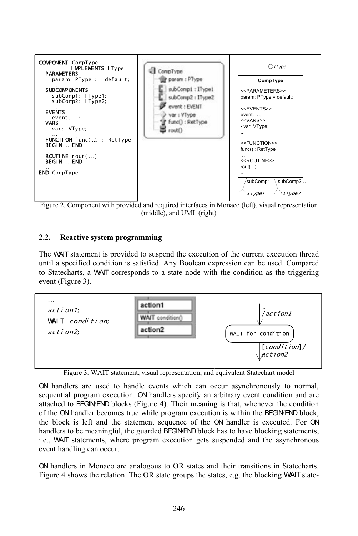

ired interfaces in<br>and UML (right) **2.2.**(middle), and UML (right)<br>**Reactive system programming** 

### $2.2.$

Reactive system programming<br>WAIT statement is provided to suspend the execution of the current execution thread Reactive system programming<br>WAIT statement is provided to suspend the execution of the current execution thread<br>a specified condition is satisfied. Any Boolean expression can be used. Compared The WAIT statement is provided to suspend the execution of the current execution thread<br>until a specified condition is satisfied. Any Boolean expression can be used. Compared<br>to Statecharts, a WAIT corresponds to a state n The  $V$ WAIT statem<br>a specified<br>atecharts, a<br>(Figure 3). …



Figure 3. WAIT statement, visual representation, and equivalent Statechart model<br>
ON handlers are used to handle events which can occur asynchronously to normal,<br>
sequential program execution. ON handlers specify an arbitr there is a search that the statements, the equivalent of the statement and the statement of the statement of the statement and are to BEGIN/END blocks (Figure 4). Their meaning is that, whenever the condition V handlers are used to handle events which can occur asynchronously to normal, quential program execution. ON handlers specify an arbitrary event condition and are tached to BEGIN/END blocks (Figure 4). Their meaning is th puential program execution. ON handlers specify an arbitrary event condition and are ached to BEGINEND blocks (Figure 4). Their meaning is that, whenever the condition the ON handler becomes true while program execution is attached to BEGINEND blocks (Figure 4). Their meaning is that, whenever the condition<br>le while program execution is within the BEGIN/END block,<br>tement sequence of the ON handler is executed. For ON<br>guarded BEGINEND block has to have blocking statemen of t he ON handler becomes true while program execution is within the BEGINEND block, block is left and the statement sequence of the ON handler is executed. For ON dlers to be meaningful, the guarded BEGINEND block has to have the b handlers to be meaningful, the guarded BEGINEND block has to have blocking statements, i.e., WAIT statements, where program execution gets suspended and the asynchronous i.e., WAT statements, where program execution gets suspended and the asynchronous<br>event handling can occur.<br>ON handlers in Monaco are analogous to OR states and their transitions in Statecharts. event handling can occur.

ndling can occur.<br>
Iers in Monaco are analogous to OR states and their transitions in Statecharts.<br>
shows the relation. The OR state groups the states, e.g. the blocking WAIT state-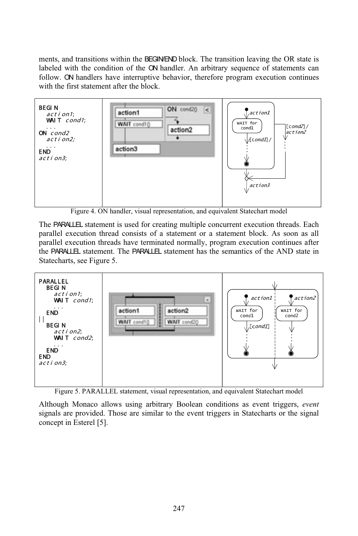transitions within the BEGINEND block. The transition leaving the OR state is and transitions within the BEGINEND block. The transition leaving the OR state is with the condition of the ON handler. An arbitrary sequence of statements can and transitions within the BEGINEND block. The transition leaving the OR state is<br>with the condition of the ON handler. An arbitrary sequence of statements can<br>ON handlers have interruptive behavior, therefore program exec men ts, and transitions within the BEGII<br>led with the condition of the ON<br>w. ON handlers have interruptive<br>the first statement after the block.



Figure 4. ON handler, visual representation, and equivalent Statechart model<br>The PARALLE statement is used for creating multiple concurrent execution threads. Each<br>parallel execution thread consists of a statement or a sta execution threads have terminated normally, program execution threads. Each execution thread consists of a statement or a statement block. As soon as all execution threads have terminated normally, program execution contin e PARALLEL statement is used for creating multiple concurrent execution threads. Each<br>allel execution thread consists of a statement or a statement block. As soon as all<br>allel execution threads have terminated normally, pr parallel execution thread consists of a statement or a statement block. As soon as all secution thread<br>
<del>L</del> statement.<br>
see Figure 5. the PARALLEL statement. The PARALLEL statement has the semantics of the AND state in atecha



 $\epsilon$ 

Although Monaco allows using arbitrary Boolean conditions as event triggers, event signals are provided. Those are similar to the event triggers in Statecharts or the signal concept in Esterel [5].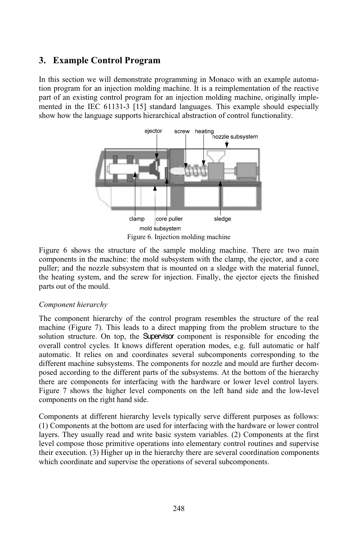## **Example Control Program**  $\mathfrak{b}_{\mathfrak{b}}$

**Example Control Program**<br>this section we will demonstrate programming in Monaco with an example automa-**EXAMPIE CONTOI Program**<br>his section we will demonstrate programming in Monaco with an example automa-<br>program for an injection molding machine. It is a reimplementation of the reactive In this section we will demonstrate programming in Monaco with an example automation program for an injection molding machine. It is a reimplementation of the reactive part of an existing control program for an injection m In this section we will demonstrate programming in Monaco with an example automa-<br>ogram for an injection molding machine. It is a reimplementation of the reactive<br>an existing control program for an injection molding machine, origi tıon p part of an existing control program for an injection molding machine, originally implemented in the IEC 61131-3 [15] standard languages. This example should especially show how the language supports hierarchical abstractio



Figure 6. Injection molding machine<br>Figure 6 shows the structure of the sample molding machine. There are two main<br>components in the machine: the mold subsystem with the clamp, the ejector, and a core Figure 6 shows the structure of the sample molding machine. There are two main components in the machine: the mold subsystem with the clamp, the ejector, and a core puller; and the nozzle subsystem that is mounted on a sle e structure of the sample molding machine. There are two main machine: the mold subsystem with the clamp, the ejector, and a core zle subsystem that is mounted on a sledge with the material funnel, and the screw for inject ents in the max<br>nd the nozzle<br>ing system, are<br>of the mould. the heating system, and the screw for injection. Finally, the ejector ejects the finished  $\mathbf{r}$ 

### Component hierarchy

pronent hierarchy<br>component hierarchy of the control program resembles the structure of the real (Figure 7). This leads to a direct mapping from the problem structure of the real (Figure 7). This leads to a direct mapping from the problem structure to the The component hierarchy of the control program resembles the structure of the real machine (Figure 7). This leads to a direct mapping from the problem structure to the solution structure. On top, the **Supervisor** component The componen it hierarchy of the control program resembles the structure of the real<br>re 7). This leads to a direct mapping from the problem structure to the<br>ure. On top, the **Supervisor** component is responsible for encoding the<br>cycles machine (Figure 7). This  $\text{Re}$ composed and sto a direct mapping from the problem structure to the<br>the **Supervisor** component is responsible for encoding the<br>nows different operation modes, e.g. full automatic or half<br>coordinates several subcomponents c solution structure. On top, the **Supervisor** component is responsible for encoding the structure. On top, the **Supervisor** component is responsible for encoding the control cycles. It knows different operation modes, e.g. full automatic or half c. It relies on and coordinates several subcomponents correspond overa II control cycles. It knows different operation modes, e.g. full automatic or half<br>aatic. It relies on and coordinates several subcomponents corresponding to the<br>ent machine subsystems. The components for nozzle and mould automatic. It relies on and coordinates several subcomponents corresponding to the matic. It relies on and coordinates several subcomponents corresponding to the<br>rent machine subsystems. The components for nozzle and mould are further decom-<br>d according to the different parts of the subsystems. At the bo differe there are components for interfacing with the hardware or lower level control layers. posed according to the different parts of the subsystems. At the bottom of the hierarchy right hand side.<br>
the digher level<br>
tight hand side. Figure 7 shows the high her level components on the left hand side and the low-level<br>hand side.<br>hierarchy levels typically serve different purposes as follows: components on the right hand side.

mponents on the right hand side.<br>
mponents at different hierarchy levels typically serve different purposes as follows:<br>
Components at the bottom are used for interfacing with the hardware or lower control Components at different hierarchy levels typically serve different purposes as follows:<br>(1) Components at the bottom are used for interfacing with the hardware or lower control<br>layers. They usually read and write basic sys Com ponents at different hierarchy levels typically serve different purposes as follows:<br>Components at the bottom are used for interfacing with the hardware or lower control<br>s. They usually read and write basic system variable (1) Components s at the bottom are used for interfacing with the hardware or lower control<br>ually read and write basic system variables. (2) Components at the first<br>those primitive operations into elementary control routines and supervise layers level compose those primitive operations into elementary control routines and supervise their execution. (3) Higher up in the hierarchy there are several coordination components which coordinate and supervise the operation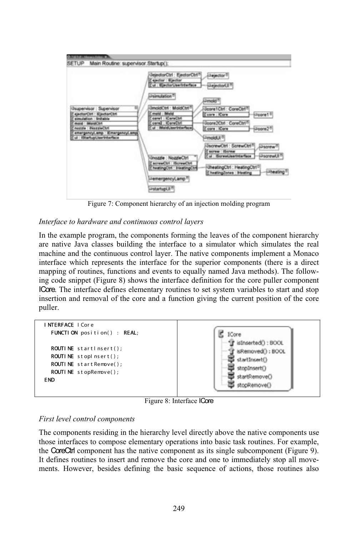

terface to hardware and continuous control layers<br>the example program, the components forming the leaves of the component hierarchy erface to hardware and continuous control layers<br>the example program, the components forming the leaves of the component hierarchy<br>native Java classes building the interface to a simulator which simulates the real In the example program, the components forming the leaves of the component hierarchy are native Java classes building the interface to a simulator which simulates the real machine and the continuous control layer. The nati In the ex ample program, the components forming the leaves of the component hierarchy<br>we Java classes building the interface to a simulator which simulates the real<br>and the continuous control layer. The native components implement a are nativ be Java classes building the interface to a simulator which simulates the real and the continuous control layer. The native components implement a Monaco which represents the interface for the superior components (there is ma chine and the continuous control layer. The native components implement a Monaco<br>erface which represents the interface for the superior components (there is a direct<br>pping of routines, functions and events to equally named Interface which represents the interface for the superior components (there is a direct<br>mapping of routines, functions and events to equally named Java methods). The follow-<br>ing code snippet (Figure 8) shows the interface mapping of r **Core.** The interface defines elementary routines to set system variables to start and stop ing code snippet (Figure 8) shows the interface definition for the core puller component  $er.$ insertion and removal of the core and a function giving the current position of the core SCHOOL and TCH<br>Iller.<br>**NTERFACE** I Cor e



8: Interface ICore

ext level control components<br>components residing in the hierarchy level directly above the native components use First level control components<br>The components residing in the hierarchy level directly above the native components use<br>those interfaces to compose elementary operations into basic task routines. For example, Extractive components is every strategies as a component of the native components use interfaces to compose elementary operations into basic task routines. For example, CoreCtrl component has the native component as its si he components residing in the hierarchy level directly above the native components use<br>lose interfaces to compose elementary operations into basic task routines. For example,<br>le CoreCtrl component has the native component those interfaces to compose elementary operations into basic task routines. For example, mechangles to compose elementary operations into basic task routines. For example, reCtri component has the native component as its single subcomponent (Figure 9). These routines to insert and remove the core and one to im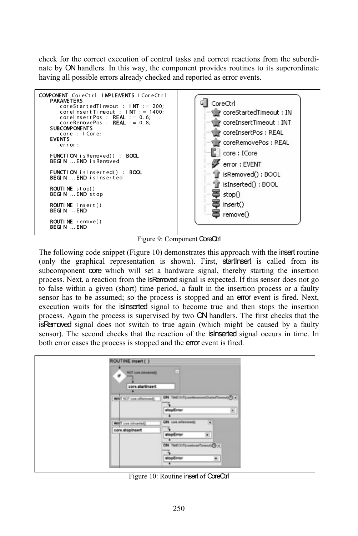check for the correct execution of control tasks and correct reactions from the subordi-ON handlers. In this way, the component provides routines to its superordinate for the correct execution of control tasks and correct reactions of ON handlers. In this way, the component provides routines to all possible errors already checked and reported as error events. Maxing all possible errors already checke<br>
COMPONENT CoreCtrl | MPLEMENTS | CoreCtrl c or eS t



9: Component CoreCtrl

Figure 9: Component CoreCtrl<br>
ving code snippet (Figure 10) demonstrates this approach with the insert routine<br>
graphical representation is shown). First, startInsert is called from its The following code snippet (Figure 10) demonstrates this approach with the insert routine (only the graphical representation is shown). First, **startinsert** is called from its subcomponent **core** which will set a hardware The following code snippet (Figure 10) demonstrates this approach with the insert routine applical representation is shown). First, **startlnsert** is called from its to **core** which will set a hardware signal, thereby starting the inser (only the graphical representation is shown). First, startless is called from its false within a given (short) is shown). First, **startinsert** is called from its becomponent **core** which will set a hardware signal, thereby starting the insertion rocess. Next, a reaction from the is **Removed** signal is e subcoi mponent **core** which will set a hardware signal, thereby starting the insertion<br>is. Next, a reaction from the is **Removed** signal is expected. If this sensor does not go<br>e within a given (short) time period, a fault in the process. N Next, a reaction from the isRemoved signal is expected. If this sensor does not go<br>vithin a given (short) time period, a fault in the insertion process or a faulty<br>s to be assumed; so the process is stopped and an **error** to false within a given (short) time period, a fault in the insertion process or a faulty<br>be assumed; so the process is stopped and an **error** event is fired. Next,<br>s for the **islnserted** signal to become true and then stops the insertion sensor has to be assumed; so the process is stopped and an **error** event is fired. Next, execution waits for the **islneeted** signal to become true and then stops the insertion process. Again the process is supervised by tw execut<mark>i</mark> In warts for the **ISINSETEC** signal to become true and then stops the insertion. Again the process is supervised by two **ON** handlers. The first checks that the **red** signal does not switch to true again (which might be ca process. Again the process is supervised by two ON handlers. The first checks that the is Removed signal does not switch to true again (which might be caused by a faulty Again the process is supervised by two CN handlers. If signal does not switch to true again (which might the second checks that the reaction of the **islnserted** si cases the process is stopped and the **error** event is fire

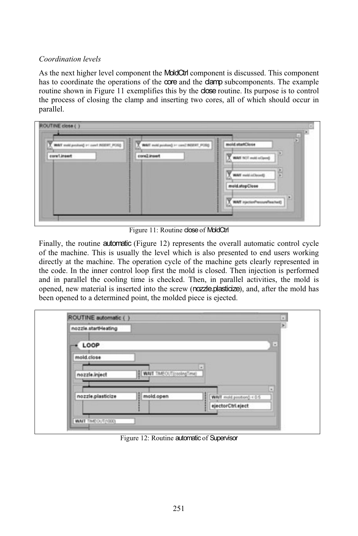# *Coordination levels*

ordination levels<br>the next higher level component the MoldCtrl component is discussed. This component the operations of the **MoldCtri** component is discussed. This component the operations of the **core** and the **clamp** subcomponents. The example in Figure 11 exemplement the **MoldCtri** component is discussed. This component ate the operations of the **core** and the **clarp** subcomponents. The example in Figure 11 exemplifies this by the **close** routine. Its purpose i As the next has to  $c_1$ routine shown in Figure 11 exemplifies this by the **close** routine. Its purpose is to control the process of closing the clamp and inserting two cores, all of which should occur in parallel.

| <b>AIT makes the air of predeced Here TAR</b> | mold positions) In Local BRIENT, PORQ | old startClose                      |
|-----------------------------------------------|---------------------------------------|-------------------------------------|
| core1.insert                                  | core2.insert                          | and he'll make the                  |
|                                               |                                       | maid inChronft                      |
|                                               |                                       | mold.stopClose                      |
|                                               |                                       | <b>Aff</b> intertian/hospywheatheit |
|                                               |                                       |                                     |

Figure 11: Routine close of MoldCtrl

Figure 11: Routine **close** of MoldCtrl<br>hally, the routine **automatic** (Figure 12) represents the overall automatic control cycle<br>the machine. This is usually the level which is also presented to end users working the routine **automatic** (Figure 12) represents the overall automatic control cycle machine. This is usually the level which is also presented to end users working at the machine. The operation cycle of the machine gets cle Finally, the rou time **automatic** (Figure 12) represents the overall automatic control cycle<br>This is usually the level which is also presented to end users working<br>machine. The operation cycle of the machine gets clearly represented in<br>inn of the machine This is usually the level which is also presented to end users working<br>machine. The operation cycle of the machine gets clearly represented in<br>e inner control loop first the mold is closed. Then injection is performed<br>the directly at the machine. The operation cycle of the machine gets clearly represented in at the machine. The operation cycle of the machine gets clearly represented in<br>e. In the inner control loop first the mold is closed. Then injection is performed<br>parallel the cooling time is checked. Then, in parallel acti the c and in parallel the cooling time is checked. Then, in parallel activities, the mold is opened, new material is inserted into the screw (nozzle.plasticize), and, after the mold has been opened to a determined point, the mol

| nozzle.startHeating            |                           |   |
|--------------------------------|---------------------------|---|
| LOOP                           |                           | × |
| mold.close                     |                           |   |
|                                | WAIT TMEOUT(coolingTime)  |   |
| nozzle.inject                  |                           |   |
| mold.open<br>nozzle.plasticize | WAIT mold position() <0.5 | ۰ |
|                                | ejectorCtrl.eject         |   |

Figure 12: Routine automatic of Supervisor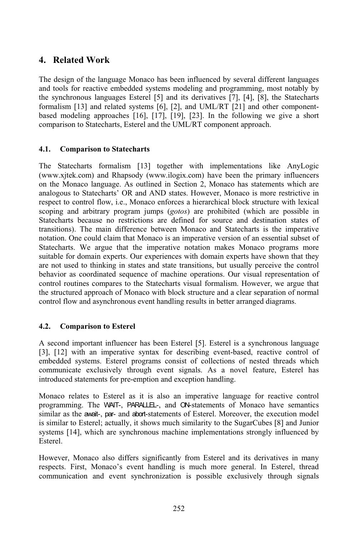## **Related Work** The4.

Related Work<br>design of the language Monaco has been influenced by several different languages **Related WOTK**<br>tools for reactive embedded systems modeling and programming, most notably by<br>tools for reactive embedded systems modeling and programming, most notably by The design of the language Monaco has been influenced by several different languages and tools for reactive embedded systems modeling and programming, most notably by the synchronous languages Esterel [5] and its derivativ The design In of the language Monaco has been influenced by several different languages<br>for reactive embedded systems modeling and programming, most notably by<br>ronous languages Esterel [5] and its derivatives [7], [4], [8], the State and tools for reactive embedded systems modeling and programming, most notably by ystems modeling and programming, most notably by<br>il [5] and its derivatives [7], [4], [8], the Statecharts<br>ns [6], [2], and UML/RT [21] and other component-<br>[17], [19], [23]. In the following we give a short the synchronous languages Esterel  $[5]$  and its derivatives  $[7]$ ,  $[4]$ ,  $[8]$ , the Statecharts Esterel [5] and its derivatives  $[7]$ ,  $[4]$ ,  $[8]$ , d systems  $[6]$ ,  $[2]$ , and UML/RT  $[21]$  and othes  $[16]$ ,  $[17]$ ,  $[19]$ ,  $[23]$ . In the following we Esterel and the UML/RT component approach. **4.1. Comparison to Statecharts**

### 4.1. Comparison to Statecharts

**Subsemier of Statecharts**<br>formalism [13] together with implementations like AnyLogic Statecharts<br>
malism [13] together with implementations like AnyLogic<br>
Rhapsody (www.ilogix.com) have been the primary influencers the Statecharts formalism [13] together with implementations like AnyLogic www.xjtek.com) and Rhapsody (www.ilogix.com) have been the primary influencers the Monaco language. As outlined in Section 2, Monaco has statements The State echarts' formalism [13] together with implementations like AnyLogic<br>k.com) and Rhapsody (www.ilogix.com) have been the primary influencers<br>onaco language. As outlined in Section 2, Monaco has statements which are<br>to Statec (www. (www.xjtek.com) and Rhapsody (www.ilogix.com) have been the primary influencers<br>on the Monaco language. As outlined in Section 2, Monaco has statements which are<br>analogous to Statecharts' OR and AND states. However, Monaco on the Monaco language. As outlined in Section 2, Monaco has statements which are Monaco language. As outlined in Section 2, Monaco has statements which are us to Statecharts' OR and AND states. However, Monaco is more restrictive in to control flow, i.e., Monaco enforces a hierarchical block structure to Statecharts' OR and AND states. However, Monaco is more restrictive in<br>control flow, i.e., Monaco enforces a hierarchical block structure with lexical<br>ad arbitrary program jumps (*gotos*) are prohibited (which are possi respect to control flow, i.e., Monaco enforces a hierarchical block structure with lexical ontrol flow, i.e., Monaco enforces a herarchical block structure with lexical<br>d arbitrary program jumps (*gotos*) are prohibited (which are possible in<br>because no restrictions are defined for source and destination states scoping and arbitrary program jumps (*gotos*) are prohibited (which are possible in ecause no restrictions are defined for source and destination states of The main difference between Monaco and Statecharts is the imperative could cla Statecharts.because no restrictions are defined for source and destination states of<br>The main difference between Monaco and Statecharts is the imperative<br>ne could claim that Monaco is an imperative version of an essential subset of<br>We transitions) The main difference between Monaco and Statecharts is the imperative<br>ne could claim that Monaco is an imperative version of an essential subset of<br>We argue that the imperative notation makes Monaco programs more<br>domain exp notation. One could claim that Monaco is an imperative version of an essential subset of ation. One could claim that Monaco is an imperative version of an essential subset of<br>itecharts. We argue that the imperative notation makes Monaco programs more<br>table for domain experts. Our experiences with domain expert Statecha rts. We argue that the imperative notation makes Monaco programs more<br>for domain experts. Our experiences with domain experts have shown that they<br>ised to thinking in states and state transitions, but usually perceive the suitable for domain experts. Our experiences with domain experts have shown that they refer to domain experts. Our experiences with domain experts have shown that they used to thinking in states and state transitions, but usually perceive the control or as coordinated sequence of machine operations. Our vis are not used to thinking in states and state transitions, but usually perceive the control<br>coordinated sequence of machine operations. Our visual representation of<br>es compares to the Statecharts visual formalism. However, we argue that behavior as coordinated sequence of machine operations. Our visual representation of flow as coordinated sequence of machine operations. Our visual representation<br>triangular routines compares to the Statecharts visual formalism. However, we argettered approach of Monaco with block structure and a clear sep **4.2. Comparison to Esterel**

### 4.2. Comparison to Esterel

 has been Esterel [5]. Esterel is a synchronous language omparison to Esterel<br>
1 important influencer has been Esterel [5]. Esterel is a synchronous language<br>
with an imperative syntax for describing event-based, reactive control of embedded systems. Esterelcer has been Esterel [5]. Esterel is a synchronous language<br>ve syntax for describing event-based, reactive control of<br>programs consist of collections of nested threads which A second  $im$ portant influencer has been Esterel [5]. Esterel is a synchronous language<br>the an imperative syntax for describing event-based, reactive control of<br>stems. Esterel programs consist of collections of nested threads which<br>exc  $[3], [12]$ embedded systems. Esterel programs consist of collections of nested threads which communicate exclusively through event signals. As a novel feature, Esterel has<br>introduced statements for pre-emption and exception handling.<br>Monaco relates to Esterel as it is also an imperative language for reactive contr introduced statements for pre-emption and exception handling.

tements for pre-emption and exception handling.<br>
es to Esterel as it is also an imperative language for reactive control<br>
The WAIT-, PARALLEL-, and CN-statements of Monaco have semantics o relates to Esterel as it is also an imperative language for reactive control<br>mming. The WAIT-, PARALLEL-, and ON-statements of Monaco have semantics<br>as the await-, par- and abort-statements of Esterel. Moreover, the exec Monaco relates to Esterel as it is also an imperative language for reactive control Ionaco relates to Esterel as it is also an imperative language for reactive control<br>rogramming. The WAIT-, PARALLEL-, and ON-statements of Monaco have semantics<br>milar as the await-, par- and abort-statements of Esterel. Mo programming. The is similar to Esterel; actually, it shows much similarity to the SugarCubes [8] and Junior similar as the await-, par- and abort-statements of Esterel. Moreover, the execution model systems [14], which are synchronous machine implementations strongly influenced by<br>Esterel.<br>However. Monaco also differs significantly from Esterel and its derivatives in many Esterel.

However, Monaco also differs significantly from Esterel and its derivatives in many respects. First, Monaco's event handling is much more general. In Esterel, thread communication and event synchronization is possible exclusively through signals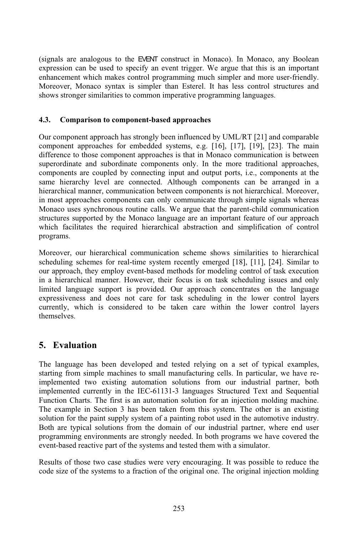analogous to the EVENT construct in Monaco). In Monaco, any Boolean e analogous to the EVENT construct in Monaco). In Monaco, any Boolean can be used to specify an event trigger. We argue that this is an important analogous to the EVENT construct in Monaco). In Monaco, any Boolean<br>an be used to specify an event trigger. We argue that this is an important<br>which makes control programming much simpler and more user-friendly. (signals ai The analogous to the EVENI construct in Monaco). In Monaco, any Boolean<br>
i can be used to specify an event trigger. We argue that this is an important<br>
ent which makes control programming much simpler and more user-friendl expres enhancement which makes control programming much simpler and more user-friendly.<br>Moreover, Monaco syntax is simpler than Esterel. It has less control structures and **4.3. Comparison to component-based approaches**

### 4.3. Comparison to component-based approaches

onent-based approaches<br>strongly been influenced by UML/RT [21] and comparable **nparison to component-based approaches**<br>nent approach has strongly been influenced by UML/RT [21] and comparable<br>approaches for embedded systems, e.g. [16], [17], [19], [23]. The main Our component approach has strongly been influenced by UML/RT [21] and comparable component approaches for embedded systems, e.g. [16], [17], [19], [23]. The main difference to those component approaches is that in Monaco Our compone and approach has strongly been influenced by UML/RT [21] and comparable<br>pproaches for embedded systems, e.g. [16], [17], [19], [23]. The main<br>those component approaches is that in Monaco communication is between<br>and subord component app roaches for embedded systems, e.g. [16], [17], [19], [23]. The main<br>ose component approaches is that in Monaco communication is between<br>nd subordinate components only. In the more traditional approaches,<br>coupled by connect difference to those con mponent approaches is that in Monaco communication is between<br>oordinate components only. In the more traditional approaches,<br>ed by connecting input and output ports, i.e., components at the<br>arranged in a superordinate and subordinate components only. In the more traditional approaches, te and subordinate components only. In the more traditional approaches,<br>are coupled by connecting input and output ports, i.e., components at the<br>rchy level are connected. Although components can be arranged in a<br>manner, c components are coupled by connecting input and output ports, *i.e.*, components at the most approaches are coupled by connecting input and output ports, i.e., components at the me hierarchy level are connected. Although components can be arranged in a erarchical manner, communication between components is no same hierarchy level are reference connected. Although components can be arranged in a nunication between components is not hierarchical. Moreover, phents can only communicate through simple signals whereas routine calls. We argue that the parenthierarchical manner, communication between components is not hierarchical. Moreover, al manner, communication between components is not hierarchical. Moreover,<br>pproaches components can only communicate through simple signals whereas<br>ises synchronous routine calls. We argue that the parent-child communicati in mo fact approaches components can only communicate through simple signals whereas<br>co uses synchronous routine calls. We argue that the parent-child communication<br>ires supported by the Monaco language are an important feature Monaco u programs. which facilitates the required hierarchical abstraction and simplification of control ilitates the required hierarchical abstraction and simplification of control<br>our hierarchical communication scheme shows similarities to hierarchical

our hierarchical communication scheme shows similarities to hierarchical schemes for real-time system recently emerged [18], [11], [24]. Similar to Moreover, our hierarchical communication scheme shows similarities to hierarchical scheduling schemes for real-time system recently emerged [18], [11], [24]. Similar to our approach, they employ event-based methods for mod  $\mathsf{M}$ Moreover, our hierarchical communication scheme shows similarities to hierarchical<br>scheduling schemes for real-time system recently emerged [18], [11], [24]. Similar to<br>our approach, they employ event-based methods for mod scheduling schemes for real-time system recently emerged [18], [11], [24]. Similar to m recently emerged [18], [11], [24]. Similar to<br>methods for modeling control of task execution<br>eir focus is on task scheduling issues and only<br>Our approach concentrates on the language employ event-based methods for modeling control of task execution<br>anner. However, their focus is on task scheduling issues and only<br>upport is provided. Our approach concentrates on the language<br>does not care for task sched in a hierarchical manner. However, their focus is on task scheduling issues and only inchical manner. However, their focus is on task scheduling issues and only anguage support is provided. Our approach concentrates on the language eness and does not care for task scheduling in the lower control layers whi limited lan currently, which is considered to be taken care within the lower control layers themselves. **Evaluation**<br> **Evaluation** 

### $\mathbf{S}$ . Evaluation

5. Evaluation<br>The language has been developed and tested relying on a set of typical examples, oped and tested relying on a set of typical examples,<br>to small manufacturing cells. In particular, we have re-The language has been developed and tested relying on a set of typical examples, starting from simple machines to small manufacturing cells. In particular, we have re-<br>implemented two existing automation solutions from our e has been developed and tested relying on a set of typical examples,<br>i simple machines to small manufacturing cells. In particular, we have re-<br>two existing automation solutions from our industrial partner, both<br>currently mple machines to small manufacturing cells. In particular, we have re-<br>o existing automation solutions from our industrial partner, both<br>rently in the IEC-61131-3 languages Structured Text and Sequential<br>The first is an au ımp lemented two existing automation solutions from our industrial partner, both<br>lemented currently in the IEC-61131-3 languages Structured Text and Sequential<br>ction Charts. The first is an automation solution for an injection implemente d currently in the IEC-61131-3 languages Structured Text and Sequential<br>harts. The first is an automotion solution for an injection molding machine.<br>le in Section 3 has been taken from this system. The other is an existing Function Charts. The first is an automation solution for an injection molding machine. tion Charts. The first is an automation solution for an injection molding machine.<br>example in Section 3 has been taken from this system. The other is an existing<br>ion for the paint supply system of a painting robot used in The example in Section 3 has been taken from this system. The other is an existing<br>the paint supply system of a painting robot used in the automotive industry-<br>ical solutions from the domain of our industrial partner, where end user<br>e solution for the pain It supply system of a painting robot used in the autor<br>lutions from the domain of our industrial partner,<br>numents are strongly needed. In both programs we had prograr event-based reactive part of the systems and tested them with a simulator.

Results of those two case studies were very encouraging. It was possible to reduce the code size of the systems to a fraction of the original one. The original injection molding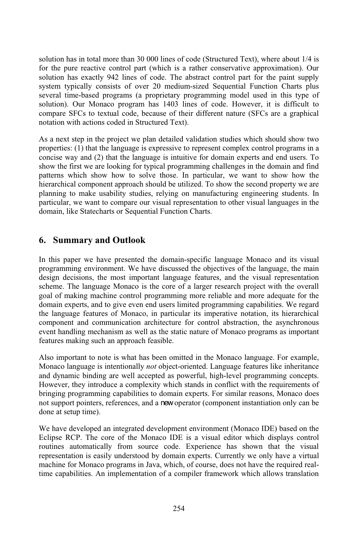has in total more than 30 000 lines of code (Structured Text), where about 1/4 is the pure reactive control part (which is a rather conservative approximation). Our the pure reactive control part (which is a rather conservative approximation). Our solution has in total more than 30 000 lines of code (Structured Text), where about 1/4 is<br>for the pure reactive control part (which is a rather conservative approximation). Our<br>solution has exactly 942 lines of code. The solution has in to ortal more than 30 000 lines of code (Structured Text), where about 1/4 is<br>citive control part (which is a rather conservative approximation). Our<br>city 942 lines of code. The abstract control part for the paint supply<br>cons for the pure reactive control part (which is a rather conservative approximation). Our pure reactive control part (which is a rather conservative approximation). Our<br>in has exactly 942 lines of code. The abstract control part for the paint supply<br>typically consists of over 20 medium-sized Sequential Function solution).has exactly 942 lines of code. The abstract control part for the paint supply<br>pically consists of over 20 medium-sized Sequential Function Charts plus<br>me-based programs (a proprietary programming model used in this type of system 1 typically consists of over 20 medium-sized Sequential Function Charts plus<br>time-based programs (a proprietary programming model used in this type of<br>0. Our Monaco program has 1403 lines of code. However, it is difficult to several timebased programs (a proprietary pi<br>ir Monaco program has 1403 lir<br>Cs to textual code, because of the<br>actions coded in Structured Text). <sub>co</sub> mpare SFCs to textual code, because of their different nature (SFCs are a graphical<br>tation with actions coded in Structured Text).<br>a next step in the project we plan detailed validation studies which should show two notation with actions coded in Structured Text).

(1) ith actions coded in Structured Text).<br>
Step in the project we plan detailed validation studies which should show two<br>
(1) that the language is expressive to represent complex control programs in a where in the project we plan detailed validation studies which should show two<br>ies: (1) that the language is expressive to represent complex control programs in a<br>way and (2) that the language is intuitive for domain exper As a next step in the project we plan detailed validation studies which should show two<br>errties: (1) that the language is expressive to represent complex control programs in a<br>se way and (2) that the language is intuitive for d properties:  $(1)$  1 that the language is expressive to represent complex control programs in a d (2) that the language is intuitive for domain experts and end users. To we are looking for typical programming challenges in the domain and find concise way  $\alpha$  and (2) that the language is intuitive for domain experts and end users. To st we are looking for typical programming challenges in the domain and find ich show how to solve those. In particular, we want to show how show the first we are lookin ig for typical programming challenges in the domain and find<br>to solve those. In particular, we want to show how the<br>roach should be utilized. To show the second property we are<br>studies, relying on manufacturing engineering patterns which show how to solve those. In particular, we want to show how the by how to solve those. In particular, we want to show how the nent approach should be utilized. To show the second property we are usability studies, relying on manufacturing engineering students. In to compare our visual hierarch planning to make usability studies, relying on manufacturing engineering students. In particular, we want to compare our visual representation to other visual languages in the domain, like Statecharts or Sequential Function Charts. Integral State State Charles of Sequen<br> **Summary and Outlook**<br> **Summary and Outlook** 

### p. Summa

**Summary and Outlook**<br>this paper we have presented the domain-specific language Monaco and its visual **Example 12** we have presented the domain-specific language Monaco and its visual environment. We have discussed the objectives of the language, the main decisions, the most important language features, and the visual moming environment. We have discussed the objectives of the language, the main decisions, the most important language features, and the visual representation  $\ln$  this  $\ln$ paper we have presented the domain-specific language Monaco and its visual<br>iming environment. We have discussed the objectives of the language, the main<br>decisions, the most important language features, and the visual repre prog ramming environment. We have discussed the objectives of the language, the main<br>gn decisions, the most important language features, and the visual representation<br>me. The language Monaco is the core of a larger research pro design decisions, the most important language features, and the visual representation decisions, the most important language features, and the visual representation.<br>The language Monaco is the core of a larger research project with the overall<br>making machine control programming more reliable and more adequa scheme. The scheme. The language Monaco is the core of a larger research project with the overall<br>goal of making machine control programming more reliable and more adequate for the<br>domain experts, and to give even end users limited pr goal of making machine control programming more reliable and more adequate for the king machine control programming more reliable and more adequate for the<br>perts, and to give even end users limited programming capabilities. We regard<br>ge features of Monaco, in particular its imperative notation, its hiera in experts, and to give even end users limited programming capabilities. We regard<br>inguage features of Monaco, in particular its imperative notation, its hierarchical<br>onent and communication architecture for control abstra the language fe component and communication architecture for control abstraction, the asynchronous event handling mechanism as well as the static nature of Monaco programs as important t handling mechanism as well as the static nature of Monaco programs as important<br>tres making such an approach feasible.<br>important to note is what has been omitted in the Monaco language. For example, features making such an approach feasible.

features making such an approach feasible.<br>Also important to note is what has been omitted in the Monaco language. For example,<br>Monaco language is intentionally *not* object-oriented. Language features like inheritance o important to note is what has been omitted in the Monaco language. For example, naco language is intentionally *not* object-oriented. Language features like inheritance dynamic binding are well accepted as powerful, high tted in the Monaco language. For example,<br>priented. Language features like inheritance<br>owerful, high-level programming concepts.<br>stands in conflict with the requirements of Monaco language is intentionally *not* object-oriented. Language features like inheritance amic binding are well accepted as powerful, high-level programming concepts. *r*, they introduce a complexity which stands in conflict wit and dynamic binding are well accepted as powerful, high-level programming concepts. If dynamic binding are well accepted as powerful, high-level programming concepts.<br>wever, they introduce a complexity which stands in conflict with the requirements of<br>nging programming capabilities to domain experts. For How bringing programming capabilities to domain experts. For similar reasons, Monaco does not support pointers, references, and a new operator (component instantiation only can be<br>done at setup time).<br>We have developed an integrated development environment (Monaco IDE) based on the done at setup time).

done at setup time).<br>We have developed an integrated development environment (Monaco IDE) based on the<br>Eclipse RCP. The core of the Monaco IDE is a visual editor which displays control We have developed an integrated development environment (Monaco IDE) based on the Eclipse RCP. The core of the Monaco IDE is a visual editor which displays control routines automatically from source code. Experience has sh Integrated development environment (Monaco IDE) based on the<br>e of the Monaco IDE is a visual editor which displays control<br>from source code. Experience has shown that the visual<br>understood by domain experts. Currently we o RCP. The core of the Monaco IDE is a visual editor which displays control<br>automatically from source code. Experience has shown that the visual<br>tation is easily understood by domain experts. Currently we only have a virtual routi representation is easily understood by domain experts. Currently we only have a virtual machine for Monaco programs in Java, which, of course, does not have the required realtime capabilities. An implementation of a compil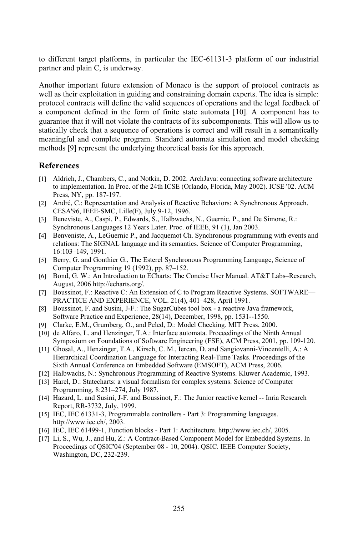different target platforms, in particular the IEC-61131-3 platform of our industrial erent target platforms, in and plain C, is underway. to different target to different target platforms, in particular the IEC-61131-3 platform of our industrial<br>partner and plain C, is underway.<br>Another important future extension of Monaco is the support of protocol contracts as partner and plain C, is underway.

her and plain C, is underway.<br>
ther important future extension of Monaco is the support of protocol contracts as<br>
as their exploitation in guiding and constraining domain experts. The idea is simple: important future extension of Monaco is the support of protocol contracts as<br>heir exploitation in guiding and constraining domain experts. The idea is simple:<br>contracts will define the valid sequences of operations and the Another imp ortant future extension of Monaco is the support of protocol contracts as<br>exploitation in guiding and constraining domain experts. The idea is simple:<br>racts will define the valid sequences of operations and the legal feedb well as th eir exploitation in guiding and constraining domain experts. The idea is simple:<br>contracts will define the valid sequences of operations and the legal feedback of<br>nent defined in the form of finite state automata [10]. A c protocol contra that a sequences of operations and the legal feedback of efined in the form of finite state automata [10]. A component has to t will not violate the contracts of its subcomponents. This will allow us to that a sequence of a component d etined in the form of finite state automata [10]. A component has to<br>complete the contracts of its subcomponents. This will allow us to<br>that a sequence of operations is correct and will result in a semantically<br>complete pr guarantee that it will not violate the contracts of its subcomponents. This will allow us to statically check that a sequence of operations is correct and will result in a semantically e that it will not violate the contracts of its subcomponents. This check that a sequence of operations is correct and will result ful and complete program. Standard automata simulation and [9] represent the underlying the meaningful a

### **References**

- References<br>[1] Aldrich, J., Chambers, C., and Notkin, D. 2002. ArchJava: connecting software architecture<br>to implaneatation In Pres. of the 24th ICSE (Crlande Flaride May 2002). ICSE 102, ACN Fences<br>Idrich, J., Chambers, C., and Notkin, D. 2002. ArchJava: connecting software architecture<br>implementation. In Proc. of the 24th ICSE (Orlando, Florida, May 2002). ICSE '02. ACM eh, J., Chambers, Colementation. In Pr. NY, pp. 187-197. Aldrich, J., Chambers, C., and Notkin, D. 2002. ArchJava: connecting software architecture to implementation. In Proc. of the 24th ICSE (Orlando, Florida, May 2002). ICSE '02. AC Press, NY, pp. 187-197.<br>André, C.: Represen
- to implementation. In Proc. of the 24th ICSE (O)<br>Press, NY, pp. 187-197.<br>André, C.: Representation and Analysis of React<br>CESA'96, IEEE-SMC, Lille(F), July 9-12, 1996. [2] André, C.: R Press, NY, pp. 187-197.<br>André, C.: Representation and Analysis of Reactive Behaviors: A Synchronous Appro<br>CESA'96, IEEE-SMC, Lille(F), July 9-12, 1996.<br>Beneviste, A., Caspi, P., Edwards, S., Halbwachs, N., Guernic, P., and
- epresentation and Analysis of Reactive Behaviors: A Synchine EE-SMC, Lille(F), July 9-12, 1996.<br>
., Caspi, P., Edwards, S., Halbwachs, N., Guernic, P., and D.<br>
Languages 12 Years Later. Proc. of IEEE. 91 (1). Jan 2003. (4) Beneviste, A., Caspi, P., Edwards, S., Halbwachs, N., Guernic, P., and De Simone, R.:<br>
Synchronous Languages 12 Years Later. Proc. of IEEE, 91 (1), Jan 2003.<br>
[4] Benveniste, A., LeGuernic P., and Jacquemot Ch. Synchro Beneviste Synchronous Languages 12 Years Later. Proc. of IEEE, 91 (1), Jan 2003.
- 13 Beneviste, A., Caspi, P., Edwards, S., Halbwachs, N., Guernic, P., and De Simone, R.:<br>
Synchronous Languages 12 Years Later. Proc. of IEEE, 91 (1), Jan 2003.<br>
[4] Benveniste, A., LeGuernic P., and Jacquemot Ch. Synchron Benveniste, A., LeGuernic P., and Jacquemot Ch. Synchronous programming with events<br>relations: The SIGNAL language and its semantics. Science of Computer Programming,<br>16:103–149, 1991.<br>Berry, G. and Gonthier G., The Estere relations: The SIGNAL language and its semantics. Science of Computer Programming, 16:103-149, 1991.
- The SIGNAL language and its semant<br>49, 1991.<br>and Gonthier G., The Esterel Synchro<br>Programming 19 (1992), pp. 87–152. 16:103–149, 1991.<br>
[5] Berry, G. and Gonthier G., The Esterel Synchronous Programming Language, Science of<br>
Computer Programming 19 (1992), pp. 87–152.<br>
[6] Bond, G. W.: An Introduction to ECharts: The Concise User Manual. Berry, Q
- 3. and Gonthier G., The 1<br>2006 http://echarts.org/.<br>2006 http://echarts.org/. Computer Programming 19 (1992), pp. 87–152.<br>
[6] Bond, G. W.: An Introduction to ECharts: The Concise User Manual. AT&T Labs–Research<br>
August, 2006 http://echarts.org/.<br>
[7] Boussinot, F.: Reactive C: An Extension of C to Bond, G. W
- An Introduction to ECharts: The Concise User Manual.<br>6 http://echarts.org/.<br>7.: Reactive C: An Extension of C to Program Reactive Sy.<br>AND EXPERIENCE, VOL. 21(4), 401–428, April 1991. August, 2006 http://echarts.org/.<br>
[7] Boussinot, F.: Reactive C: An Extension of C to Program Reactive Systems. SOFTW<br>
PRACTICE AND EXPERIENCE, VOL. 21(4), 401–428, April 1991.<br>
[8] Boussinot. F. and Susini. J-F.: The Sug Boussinc PRACTICE AND EXPERIENCE, VOL. 21(4), 401-428, April 1991.
- $\overline{9}$ PRACTICE AND EXPERIENCE, VOL. 21(4), 401–428, April 1991.<br>Boussinot, F. and Susini, J-F.: The SugarCubes tool box - a reactive Java frame<br>Software Practice and Experience, 28(14), December, 1998, pp. 1531--1550.<br>Clarke, E.  $\mathfrak{g}_{\mathfrak{p}}$ Boussinot, F. and Susini, J-F.: The SugarCubes tool box - a reactive Java framework,<br>Software Practice and Experience, 28(14), December, 1998, pp. 1531--1550.<br>Clarke, E.M., Grumberg, O., and Peled, D.: Model Checking. MIT
- 
- actice and Experience, 28(14), December, 1998, pp. 1531--1550.<br>I., Grumberg, O., and Peled, D.: Model Checking. MIT Press, 2000.<br>.. and Henzinger, T.A.: Interface automata. Proceedings of the Ninth Annual<br>.on Foundations o [9] Clarke, E.M., Grumberg, O., and Peled, D.: Model Checking. MIT Press, 2000.<br>
[10] de Alfaro, L. and Henzinger, T.A.: Interface automata. Proceedings of the Ninth Annual<br>
Symposium on Foundations of Software Engineering de Alfaro, L [10] de Alfaro, L. and Henzinger, T.A.: Interface automata. Proceedings of the Ninth Annual<br>Symposium on Foundations of Software Engineering (FSE), ACM Press, 2001, pp. 109-1<br>[11] Ghosal, A., Henzinger, T.A., Kirsch, C. M. Symposium on Foundations of Software Engineering (FSE), ACM Press, 2001, pp. 109-120.
- oosium on Foundations of Software Engineering (FSE), ACM Press, 2001, p<br>al, A., Henzinger, T.A., Kirsch, C. M., Iercan, D. and Sangiovanni-Vincente<br>irchical Coordination Language for Interacting Real-Time Tasks. Proceeding Hierarchical Coordination Language for Interacting Real-Time Tasks. Proceedings of the Sixth Annual Conference on Embedded Software (EMSOFT), ACM Press, 2006.<br>[12] Halbwachs, N.: Synchronous Programming of Reactive Systems Hierarchical Coordination Language for Interacting Real-Time Tasks. Proceedings of<br>Sixth Annual Conference on Embedded Software (EMSOFT), ACM Press, 2006.<br>Halbwachs, N.: Synchronous Programming of Reactive Systems. Kluwer Pring Sixth Annual
- 
- Conference on Embedd<br>
: Synchronous Progran<br>
echarts: a visual forma<br>
8:231–274, July 1987. [12] Halbwachs, N.: Synchronous Programming of Reactive Systems. Kluwer Academic, 199.<br>[13] Harel, D.: Statecharts: a visual formalism for complex systems. Science of Computer<br>Programming, 8:231–274, July 1987.<br>[14] Hazard Harel, I
- Programming, 8:231–274, July 1987.<br>Hazard, L. and Susini, J-F. and Bouss<br>Report, RR-3732, July, 1999. Programming, 8:231–274, July 1987.<br>
[14] Hazard, L. and Susini, J-F. and Boussinot, F.: The Junior reactive kernel -- Inriz<br>
Report, RR-3732, July, 1999.<br>
[15] IEC. IEC 61331-3. Programmable controllers - Part 3: Programmi Hazard, L. and Susini, J-I
- http://www.iec.ch/, 2003. .<br>[16] Report, RR-3732, July, 1999.<br>
IEC, IEC 61331-3, Programmable controllers - Part 3: Programming languages.<br>
http://www.iec.ch/, 2003.<br>
IEC, IEC 61499-1, Function blocks - Part 1: Architecture. http://www.iec.ch/, 2005.  $[1, 1]$
- 
- [17] Li, S., Wu, J., and Hu, Z.: A Contract-Based Component Model for Embedded Systems. In iec.ch/, 2003.<br>499-1, Function blocks - Part 1: Architecture. http://www.iec.ch/, 2005.<br>I., and Hu, Z.: A Contract-Based Component Model for Embedded Syste<br>of OSIC'04 (September 08 - 10, 2004). OSIC. IEEE Computer Society. 499-1, Functio<br>., and Hu, Z.:<br>of QSIC'04 (S<br>DC, 232-239.